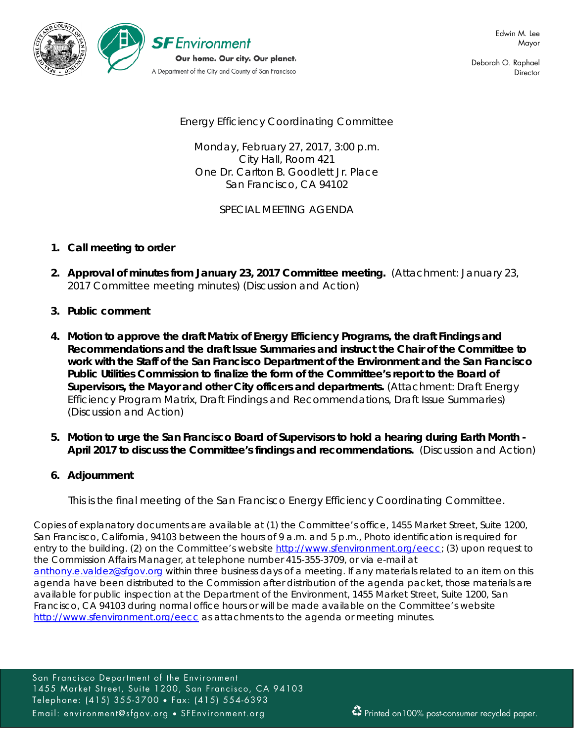

Deborah O. Raphael **Director** 

Energy Efficiency Coordinating Committee

Monday, February 27, 2017, 3:00 p.m. City Hall, Room 421 One Dr. Carlton B. Goodlett Jr. Place San Francisco, CA 94102

SPECIAL MEETING AGENDA

## **1. Call meeting to order**

- **2. Approval of minutes from January 23, 2017 Committee meeting.** (Attachment: January 23, 2017 Committee meeting minutes) (Discussion and Action)
- **3. Public comment**
- **4. Motion to approve the draft Matrix of Energy Efficiency Programs, the draft Findings and Recommendations and the draft Issue Summaries and instruct the Chair of the Committee to work with the Staff of the San Francisco Department of the Environment and the San Francisco Public Utilities Commission to finalize the form of the Committee's report to the Board of Supervisors, the Mayor and other City officers and departments.** (Attachment: Draft Energy Efficiency Program Matrix, Draft Findings and Recommendations, Draft Issue Summaries) (Discussion and Action)
- **5. Motion to urge the San Francisco Board of Supervisors to hold a hearing during Earth Month - April 2017 to discuss the Committee's findings and recommendations.** (Discussion and Action)

# **6. Adjournment**

*This is the final meeting of the San Francisco Energy Efficiency Coordinating Committee.*

Copies of explanatory documents are available at (1) the Committee's office, 1455 Market Street, Suite 1200, San Francisco, California, 94103 between the hours of 9 a.m. and 5 p.m., Photo identification is required for entry to the building. (2) on the Committee's website http://www.sfenvironment.org/eecc; (3) upon request to the Commission Affairs Manager, at telephone number 415-355-3709, or via e-mail at [anthony.e.valdez@sfgov.org](mailto:anthony.e.valdez@sfgov.org) within three business days of a meeting. If any materials related to an item on this agenda have been distributed to the Commission after distribution of the agenda packet, those materials are available for public inspection at the Department of the Environment, 1455 Market Street, Suite 1200, San Francisco, CA 94103 during normal office hours or will be made available on the Committee's website <http://www.sfenvironment.org/eecc> as attachments to the agenda or meeting minutes.

San Francisco Department of the Environment 1455 Market Street, Suite 1200, San Francisco, CA 94103 Telephone: (415) 355-3700 • Fax: (415) 554-6393 Email: environment@sfgov.org • SFEnvironment.org Printed on100% post-consumer recycled paper.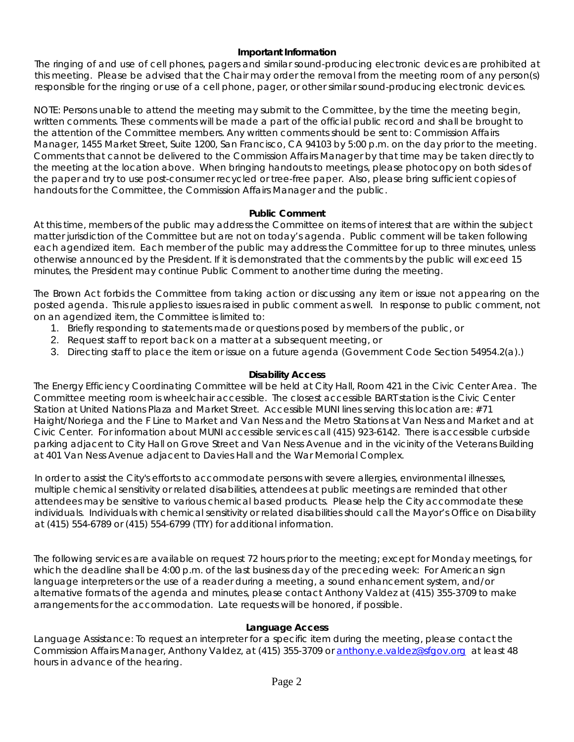## **Important Information**

The ringing of and use of cell phones, pagers and similar sound-producing electronic devices are prohibited at this meeting. Please be advised that the Chair may order the removal from the meeting room of any person(s) responsible for the ringing or use of a cell phone, pager, or other similar sound-producing electronic devices.

NOTE: Persons unable to attend the meeting may submit to the Committee, by the time the meeting begin, written comments. These comments will be made a part of the official public record and shall be brought to the attention of the Committee members. Any written comments should be sent to: Commission Affairs Manager, 1455 Market Street, Suite 1200, San Francisco, CA 94103 by 5:00 p.m. on the day prior to the meeting. Comments that cannot be delivered to the Commission Affairs Manager by that time may be taken directly to the meeting at the location above. When bringing handouts to meetings, please photocopy on both sides of the paper and try to use post-consumer recycled or tree-free paper. Also, please bring sufficient copies of handouts for the Committee, the Commission Affairs Manager and the public.

#### **Public Comment**

At this time, members of the public may address the Committee on items of interest that are within the subject matter jurisdiction of the Committee but are not on today's agenda. Public comment will be taken following each agendized item. Each member of the public may address the Committee for up to three minutes, unless otherwise announced by the President. If it is demonstrated that the comments by the public will exceed 15 minutes, the President may continue Public Comment to another time during the meeting.

The Brown Act forbids the Committee from taking action or discussing any item or issue not appearing on the posted agenda. This rule applies to issues raised in public comment as well. In response to public comment, not on an agendized item, the Committee is limited to:

- 1. Briefly responding to statements made or questions posed by members of the public, or
- 2. Request staff to report back on a matter at a subsequent meeting, or
- 3. Directing staff to place the item or issue on a future agenda (Government Code Section 54954.2(a).)

## **Disability Access**

The Energy Efficiency Coordinating Committee will be held at City Hall, Room 421 in the Civic Center Area. The Committee meeting room is wheelchair accessible. The closest accessible BART station is the Civic Center Station at United Nations Plaza and Market Street. Accessible MUNI lines serving this location are: #71 Haight/Noriega and the F Line to Market and Van Ness and the Metro Stations at Van Ness and Market and at Civic Center. For information about MUNI accessible services call (415) 923-6142. There is accessible curbside parking adjacent to City Hall on Grove Street and Van Ness Avenue and in the vicinity of the Veterans Building at 401 Van Ness Avenue adjacent to Davies Hall and the War Memorial Complex.

In order to assist the City's efforts to accommodate persons with severe allergies, environmental illnesses, multiple chemical sensitivity or related disabilities, attendees at public meetings are reminded that other attendees may be sensitive to various chemical based products. Please help the City accommodate these individuals. Individuals with chemical sensitivity or related disabilities should call the Mayor's Office on Disability at (415) 554-6789 or (415) 554-6799 (TTY) for additional information.

The following services are available on request 72 hours prior to the meeting; except for Monday meetings, for which the deadline shall be 4:00 p.m. of the last business day of the preceding week: For American sign language interpreters or the use of a reader during a meeting, a sound enhancement system, and/or alternative formats of the agenda and minutes, please contact Anthony Valdez at (415) 355-3709 to make arrangements for the accommodation. Late requests will be honored, if possible.

#### **Language Access**

Language Assistance: To request an interpreter for a specific item during the meeting, please contact the Commission Affairs Manager, Anthony Valdez, at (415) 355-3709 or [anthony.e.valdez@sfgov.org](mailto:anthony.e.valdez@sfgov.org) at least 48 hours in advance of the hearing.